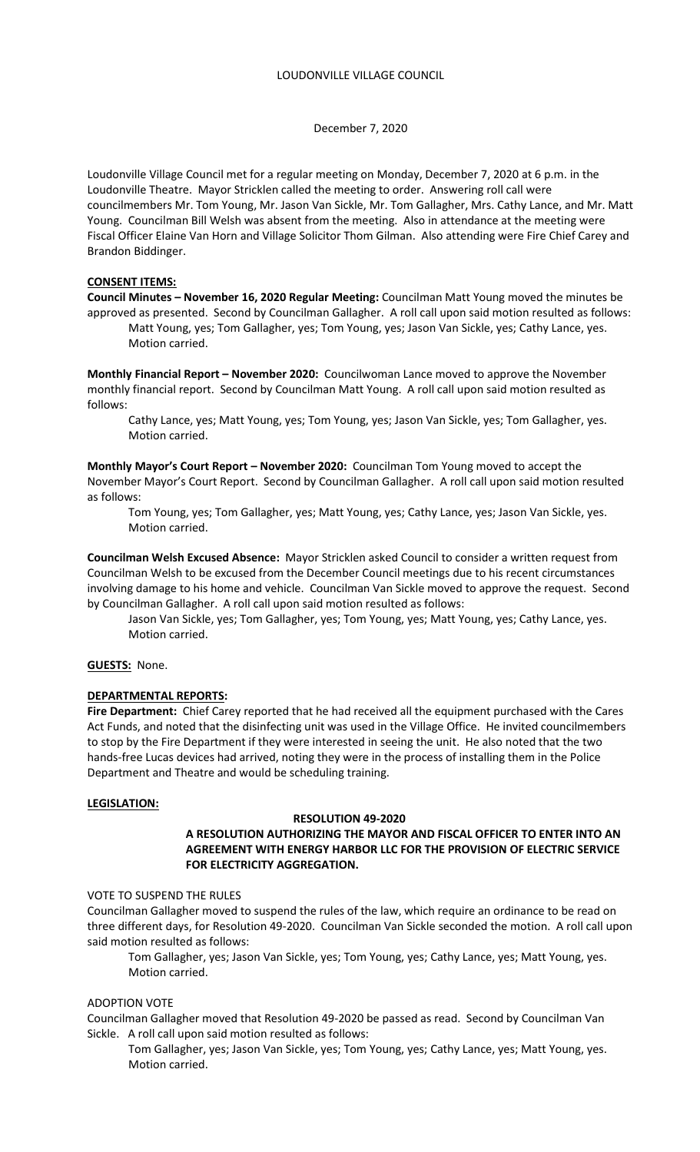December 7, 2020

Loudonville Village Council met for a regular meeting on Monday, December 7, 2020 at 6 p.m. in the Loudonville Theatre. Mayor Stricklen called the meeting to order. Answering roll call were councilmembers Mr. Tom Young, Mr. Jason Van Sickle, Mr. Tom Gallagher, Mrs. Cathy Lance, and Mr. Matt Young. Councilman Bill Welsh was absent from the meeting. Also in attendance at the meeting were Fiscal Officer Elaine Van Horn and Village Solicitor Thom Gilman. Also attending were Fire Chief Carey and Brandon Biddinger.

## **CONSENT ITEMS:**

**Council Minutes – November 16, 2020 Regular Meeting:** Councilman Matt Young moved the minutes be approved as presented. Second by Councilman Gallagher. A roll call upon said motion resulted as follows: Matt Young, yes; Tom Gallagher, yes; Tom Young, yes; Jason Van Sickle, yes; Cathy Lance, yes. Motion carried.

**Monthly Financial Report – November 2020:** Councilwoman Lance moved to approve the November monthly financial report. Second by Councilman Matt Young. A roll call upon said motion resulted as follows:

 Cathy Lance, yes; Matt Young, yes; Tom Young, yes; Jason Van Sickle, yes; Tom Gallagher, yes. Motion carried.

**Monthly Mayor's Court Report – November 2020:** Councilman Tom Young moved to accept the November Mayor's Court Report. Second by Councilman Gallagher. A roll call upon said motion resulted as follows:

 Tom Young, yes; Tom Gallagher, yes; Matt Young, yes; Cathy Lance, yes; Jason Van Sickle, yes. Motion carried.

**Councilman Welsh Excused Absence:** Mayor Stricklen asked Council to consider a written request from Councilman Welsh to be excused from the December Council meetings due to his recent circumstances involving damage to his home and vehicle. Councilman Van Sickle moved to approve the request. Second by Councilman Gallagher. A roll call upon said motion resulted as follows:

Jason Van Sickle, yes; Tom Gallagher, yes; Tom Young, yes; Matt Young, yes; Cathy Lance, yes. Motion carried.

# **GUESTS:** None.

## **DEPARTMENTAL REPORTS:**

**Fire Department:** Chief Carey reported that he had received all the equipment purchased with the Cares Act Funds, and noted that the disinfecting unit was used in the Village Office. He invited councilmembers to stop by the Fire Department if they were interested in seeing the unit. He also noted that the two hands-free Lucas devices had arrived, noting they were in the process of installing them in the Police Department and Theatre and would be scheduling training.

## **LEGISLATION:**

## **RESOLUTION 49-2020**

## **A RESOLUTION AUTHORIZING THE MAYOR AND FISCAL OFFICER TO ENTER INTO AN AGREEMENT WITH ENERGY HARBOR LLC FOR THE PROVISION OF ELECTRIC SERVICE FOR ELECTRICITY AGGREGATION.**

### VOTE TO SUSPEND THE RULES

Councilman Gallagher moved to suspend the rules of the law, which require an ordinance to be read on three different days, for Resolution 49-2020. Councilman Van Sickle seconded the motion. A roll call upon said motion resulted as follows:

Tom Gallagher, yes; Jason Van Sickle, yes; Tom Young, yes; Cathy Lance, yes; Matt Young, yes. Motion carried.

## ADOPTION VOTE

Councilman Gallagher moved that Resolution 49-2020 be passed as read. Second by Councilman Van Sickle. A roll call upon said motion resulted as follows:

Tom Gallagher, yes; Jason Van Sickle, yes; Tom Young, yes; Cathy Lance, yes; Matt Young, yes. Motion carried.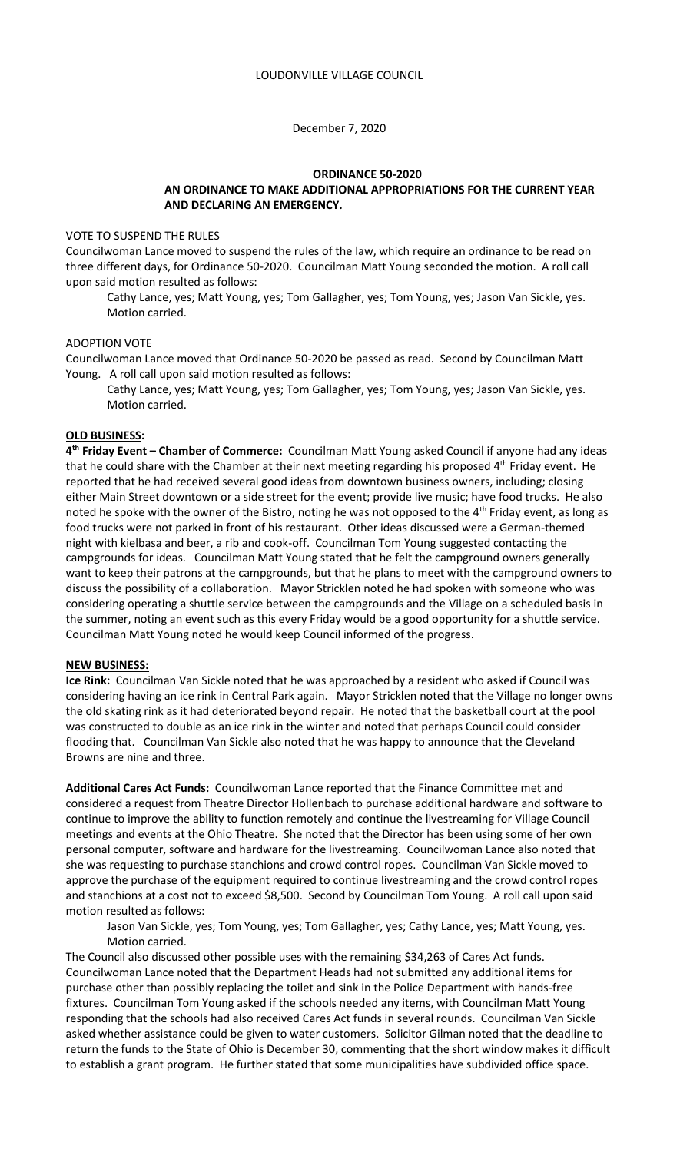### December 7, 2020

### **ORDINANCE 50-2020 AN ORDINANCE TO MAKE ADDITIONAL APPROPRIATIONS FOR THE CURRENT YEAR AND DECLARING AN EMERGENCY.**

### VOTE TO SUSPEND THE RULES

Councilwoman Lance moved to suspend the rules of the law, which require an ordinance to be read on three different days, for Ordinance 50-2020. Councilman Matt Young seconded the motion. A roll call upon said motion resulted as follows:

Cathy Lance, yes; Matt Young, yes; Tom Gallagher, yes; Tom Young, yes; Jason Van Sickle, yes. Motion carried.

### ADOPTION VOTE

Councilwoman Lance moved that Ordinance 50-2020 be passed as read. Second by Councilman Matt Young. A roll call upon said motion resulted as follows:

Cathy Lance, yes; Matt Young, yes; Tom Gallagher, yes; Tom Young, yes; Jason Van Sickle, yes. Motion carried.

#### **OLD BUSINESS:**

**4 th Friday Event – Chamber of Commerce:** Councilman Matt Young asked Council if anyone had any ideas that he could share with the Chamber at their next meeting regarding his proposed 4<sup>th</sup> Friday event. He reported that he had received several good ideas from downtown business owners, including; closing either Main Street downtown or a side street for the event; provide live music; have food trucks. He also noted he spoke with the owner of the Bistro, noting he was not opposed to the 4<sup>th</sup> Friday event, as long as food trucks were not parked in front of his restaurant. Other ideas discussed were a German-themed night with kielbasa and beer, a rib and cook-off. Councilman Tom Young suggested contacting the campgrounds for ideas. Councilman Matt Young stated that he felt the campground owners generally want to keep their patrons at the campgrounds, but that he plans to meet with the campground owners to discuss the possibility of a collaboration. Mayor Stricklen noted he had spoken with someone who was considering operating a shuttle service between the campgrounds and the Village on a scheduled basis in the summer, noting an event such as this every Friday would be a good opportunity for a shuttle service. Councilman Matt Young noted he would keep Council informed of the progress.

#### **NEW BUSINESS:**

**Ice Rink:** Councilman Van Sickle noted that he was approached by a resident who asked if Council was considering having an ice rink in Central Park again. Mayor Stricklen noted that the Village no longer owns the old skating rink as it had deteriorated beyond repair. He noted that the basketball court at the pool was constructed to double as an ice rink in the winter and noted that perhaps Council could consider flooding that. Councilman Van Sickle also noted that he was happy to announce that the Cleveland Browns are nine and three.

**Additional Cares Act Funds:** Councilwoman Lance reported that the Finance Committee met and considered a request from Theatre Director Hollenbach to purchase additional hardware and software to continue to improve the ability to function remotely and continue the livestreaming for Village Council meetings and events at the Ohio Theatre. She noted that the Director has been using some of her own personal computer, software and hardware for the livestreaming. Councilwoman Lance also noted that she was requesting to purchase stanchions and crowd control ropes. Councilman Van Sickle moved to approve the purchase of the equipment required to continue livestreaming and the crowd control ropes and stanchions at a cost not to exceed \$8,500. Second by Councilman Tom Young. A roll call upon said motion resulted as follows:

Jason Van Sickle, yes; Tom Young, yes; Tom Gallagher, yes; Cathy Lance, yes; Matt Young, yes. Motion carried.

The Council also discussed other possible uses with the remaining \$34,263 of Cares Act funds. Councilwoman Lance noted that the Department Heads had not submitted any additional items for purchase other than possibly replacing the toilet and sink in the Police Department with hands-free fixtures. Councilman Tom Young asked if the schools needed any items, with Councilman Matt Young responding that the schools had also received Cares Act funds in several rounds. Councilman Van Sickle asked whether assistance could be given to water customers. Solicitor Gilman noted that the deadline to return the funds to the State of Ohio is December 30, commenting that the short window makes it difficult to establish a grant program. He further stated that some municipalities have subdivided office space.